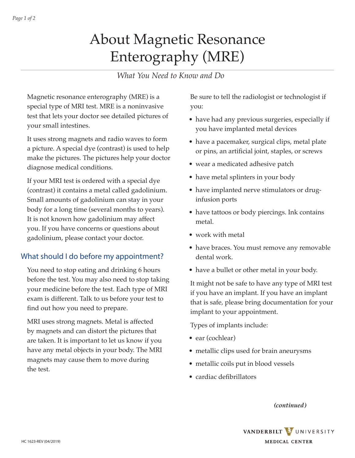# About Magnetic Resonance Enterography (MRE)

### *What You Need to Know and Do*

Magnetic resonance enterography (MRE) is a special type of MRI test. MRE is a noninvasive test that lets your doctor see detailed pictures of your small intestines.

It uses strong magnets and radio waves to form a picture. A special dye (contrast) is used to help make the pictures. The pictures help your doctor diagnose medical conditions.

If your MRI test is ordered with a special dye (contrast) it contains a metal called gadolinium. Small amounts of gadolinium can stay in your body for a long time (several months to years). It is not known how gadolinium may affect you. If you have concerns or questions about gadolinium, please contact your doctor.

#### What should I do before my appointment?

You need to stop eating and drinking 6 hours before the test. You may also need to stop taking your medicine before the test. Each type of MRI exam is different. Talk to us before your test to find out how you need to prepare.

MRI uses strong magnets. Metal is affected by magnets and can distort the pictures that are taken. It is important to let us know if you have any metal objects in your body. The MRI magnets may cause them to move during the test.

Be sure to tell the radiologist or technologist if you:

- have had any previous surgeries, especially if you have implanted metal devices
- have a pacemaker, surgical clips, metal plate or pins, an artificial joint, staples, or screws
- wear a medicated adhesive patch
- have metal splinters in your body
- have implanted nerve stimulators or druginfusion ports
- have tattoos or body piercings. Ink contains metal.
- work with metal
- have braces. You must remove any removable dental work.
- have a bullet or other metal in your body.

It might not be safe to have any type of MRI test if you have an implant. If you have an implant that is safe, please bring documentation for your implant to your appointment.

Types of implants include:

- ear (cochlear)
- metallic clips used for brain aneurysms
- metallic coils put in blood vessels
- cardiac defibrillators

*(continued)*